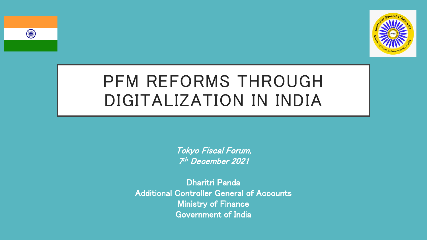

# PFM REFORMS THROUGH DIGITALIZATION IN INDIA

**CHE** 

Tokyo Fiscal Forum, 7th December 2021

Dharitri Panda Additional Controller General of Accounts Ministry of Finance Government of India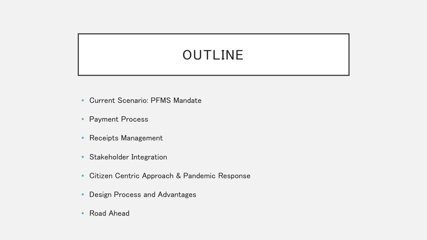## OUTLINE

- Current Scenario: PFMS Mandate
- Payment Process
- Receipts Management
- Stakeholder Integration
- Citizen Centric Approach & Pandemic Response
- Design Process and Advantages
- Road Ahead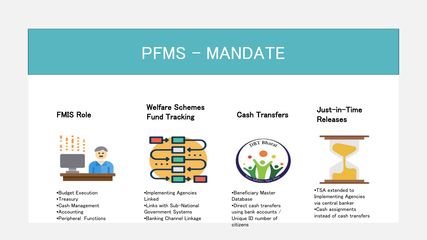## PFMS - MANDATE

#### FMIS Role

•Budget Execution •Treasury •Cash Management •Accounting •Peripheral Functions

### Welfare Schemes weitare Schemes<br>Fund Tracking Cash Transfers Beleases

# Releases



•Implementing Agencies Linked •Links with Sub-National Government Systems •Banking Channel Linkage



•Beneficiary Master Database •Direct cash transfers using bank accounts / Unique ID number of citizens



•TSA extended to Implementing Agencies via central banker •Cash assignments instead of cash transfers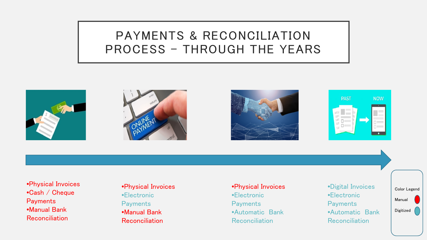### PAYMENTS & RECONCILIATION PROCESS – THROUGH THE YEARS



•Physical Invoices •Cash / Cheque **Payments** •Manual Bank Reconciliation

•Physical Invoices •Electronic **Payments** •Manual Bank Reconciliation

•Physical Invoices •Electronic **Payments** •Automatic Bank Reconciliation

•Digital Invoices •Electronic **Payments** •Automatic Bank Reconciliation

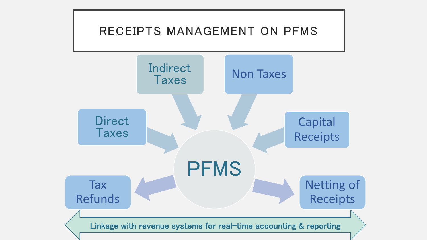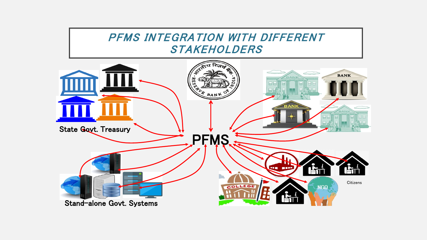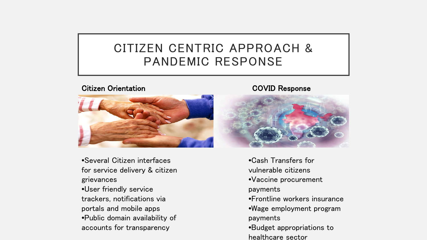## CITIZEN CENTRIC APPROACH & PANDEMIC RESPONSE

#### Citizen Orientation COVID Response



•Several Citizen interfaces for service delivery & citizen grievances •User friendly service trackers, notifications via portals and mobile apps •Public domain availability of accounts for transparency

•Cash Transfers for vulnerable citizens •Vaccine procurement payments •Frontline workers insurance •Wage employment program payments •Budget appropriations to healthcare sector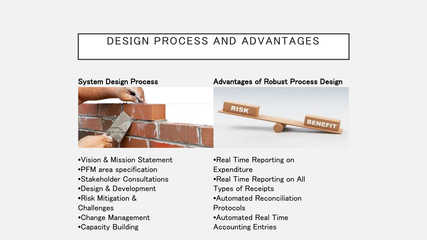### DESIGN PROCESS AND ADVANTAGES



- •Vision & Mission Statement
- •PFM area specification
- •Stakeholder Consultations
- •Design & Development
- •Risk Mitigation &
- **Challenges**
- •Change Management
- •Capacity Building

•Real Time Reporting on Expenditure •Real Time Reporting on All Types of Receipts •Automated Reconciliation Protocols •Automated Real Time Accounting Entries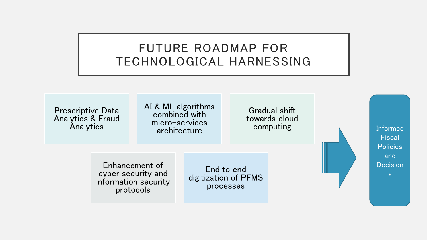## FUTURE ROADMAP FOR TECHNOLOGICAL HARNESSING

Prescriptive Data Analytics & Fraud **Analytics** 

AI & ML algorithms combined with micro-services architecture

Gradual shift towards cloud computing

Enhancement of cyber security and information security protocols

End to end digitization of PFMS processes

Informed **Fiscal Policies** and **Decision** s